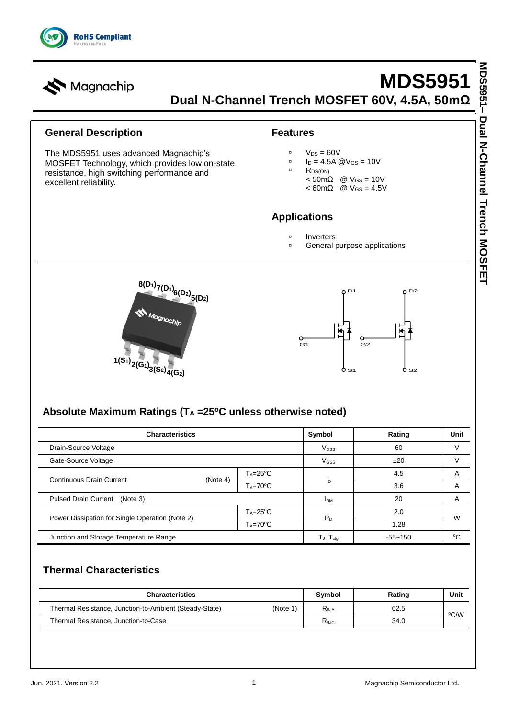

# **MDS5951 Dual N-Channel Trench MOSFET 60V, 4.5A, 50mΩ**

#### **General Description**

Magnachip

The MDS5951 uses advanced Magnachip's MOSFET Technology, which provides low on-state resistance, high switching performance and excellent reliability.

#### **Features**

 $V_{DS} = 60V$ 

I<sup>D</sup> = 4.5A @VGS = 10V

- RDS(ON)
	- $< 50 \text{m}\Omega$  @  $V_{GS} = 10V$
	- $< 60 \text{m}\Omega$  @ V<sub>GS</sub> = 4.5V

### **Applications**

- **Inverters**
- General purpose applications





### **Absolute Maximum Ratings (T<sup>A</sup> =25<sup>o</sup>C unless otherwise noted)**

| <b>Characteristics</b>                          |          |                     | Symbol                 | Rating      | Unit   |
|-------------------------------------------------|----------|---------------------|------------------------|-------------|--------|
| Drain-Source Voltage                            |          |                     | <b>V<sub>DSS</sub></b> | 60          |        |
| Gate-Source Voltage                             |          |                     | V <sub>GSS</sub>       | ±20         |        |
| <b>Continuous Drain Current</b>                 | (Note 4) | $T_A = 25$ °C       |                        | 4.5         | Α      |
|                                                 |          | $T_A = 70$ °C       | ΙD                     | 3.6         | Α      |
| Pulsed Drain Current (Note 3)                   |          |                     | <b>IDM</b>             | 20          | Α      |
|                                                 |          | $T_A = 25$ °C       | $P_{D}$                | 2.0         | W      |
| Power Dissipation for Single Operation (Note 2) |          | $T_A = 70^{\circ}C$ |                        | 1.28        |        |
| Junction and Storage Temperature Range          |          |                     | $T_{J}$ , $T_{stg}$    | $-55 - 150$ | $\sim$ |

### **Thermal Characteristics**

| <b>Characteristics</b>                                 |         | Symbol                                    | Rating | Unit |
|--------------------------------------------------------|---------|-------------------------------------------|--------|------|
| Thermal Resistance, Junction-to-Ambient (Steady-State) | (Note 1 | R <sub>0.JA</sub>                         | 62.5   | °C∕W |
| Thermal Resistance, Junction-to-Case                   |         | $\mathsf{R}_{\mathsf{\theta\textup{JC}}}$ | 34.0   |      |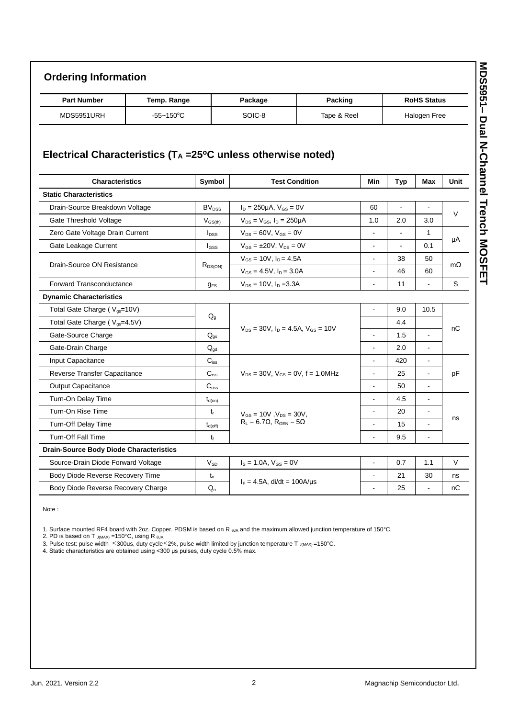## **Ordering Information**

| <b>Part Number</b> | Temp. Range    | Package | Packing     | <b>RoHS Status</b> |
|--------------------|----------------|---------|-------------|--------------------|
| MDS5951URH         | $-55 - 150$ °C | SOIC-8  | Tape & Reel | Halogen Free       |

### **Electrical Characteristics (T<sup>A</sup> =25<sup>o</sup>C unless otherwise noted)**

| <b>Characteristics</b>                         | Symbol           | <b>Test Condition</b>                          |                | <b>Typ</b>     | <b>Max</b>               | Unit   |  |
|------------------------------------------------|------------------|------------------------------------------------|----------------|----------------|--------------------------|--------|--|
| <b>Static Characteristics</b>                  |                  |                                                |                |                |                          |        |  |
| Drain-Source Breakdown Voltage                 | $BV_{DSS}$       | $I_D = 250 \mu A$ , $V_{GS} = 0V$              | 60             |                | $\overline{\phantom{a}}$ | V      |  |
| Gate Threshold Voltage                         | $V_{GS(th)}$     | $V_{DS} = V_{GS}$ , $I_D = 250 \mu A$          | 1.0            | 2.0            | 3.0                      |        |  |
| Zero Gate Voltage Drain Current                | $I_{DSS}$        | $V_{DS} = 60V$ , $V_{GS} = 0V$                 | $\blacksquare$ | $\blacksquare$ | 1                        | μA     |  |
| Gate Leakage Current                           | lgss             | $V_{GS} = \pm 20V$ , $V_{DS} = 0V$             | $\blacksquare$ | $\blacksquare$ | 0.1                      |        |  |
|                                                |                  | $V_{GS} = 10V$ , $I_D = 4.5A$                  | $\blacksquare$ | 38             | 50                       |        |  |
| Drain-Source ON Resistance                     | $R_{DS(ON)}$     | $V_{GS} = 4.5V$ , $I_D = 3.0A$                 | $\blacksquare$ | 46             | 60                       | mΩ     |  |
| Forward Transconductance                       | $g_{FS}$         | $V_{DS} = 10V$ , $I_D = 3.3A$                  | $\overline{a}$ | 11             | $\overline{a}$           | S      |  |
| <b>Dynamic Characteristics</b>                 |                  |                                                |                |                |                          |        |  |
| Total Gate Charge (V <sub>gs</sub> =10V)       |                  | $V_{DS}$ = 30V, $I_D$ = 4.5A, $V_{GS}$ = 10V   | $\blacksquare$ | 9.0            | 10.5                     | nC     |  |
| Total Gate Charge (V <sub>gs</sub> =4.5V)      | $Q_q$            |                                                |                | 4.4            |                          |        |  |
| Gate-Source Charge                             | $Q_{qs}$         |                                                | $\blacksquare$ | 1.5            | L,                       |        |  |
| Gate-Drain Charge                              | $Q_{qd}$         |                                                | $\blacksquare$ | 2.0            | L,                       |        |  |
| Input Capacitance                              | $C_{iss}$        |                                                | $\blacksquare$ | 420            | $\overline{a}$           |        |  |
| Reverse Transfer Capacitance                   | C <sub>rss</sub> | $V_{DS} = 30V$ , $V_{GS} = 0V$ , $f = 1.0 MHz$ |                | 25             | $\blacksquare$           | pF     |  |
| <b>Output Capacitance</b>                      | $C_{\text{oss}}$ |                                                | $\blacksquare$ | 50             | $\blacksquare$           |        |  |
| Turn-On Delay Time                             | $t_{d(on)}$      |                                                | $\sim$         | 4.5            | $\blacksquare$           |        |  |
| Turn-On Rise Time                              | $t_{r}$          | $V_{GS} = 10V$ , $V_{DS} = 30V$ ,              | $\blacksquare$ | 20             | $\blacksquare$           | ns     |  |
| Turn-Off Delay Time                            | $t_{d(off)}$     | $R_L = 6.7 \Omega$ , $R_{GEN} = 5 \Omega$      | $\blacksquare$ | 15             | $\blacksquare$           |        |  |
| <b>Turn-Off Fall Time</b>                      | $t_{\rm f}$      |                                                | $\overline{a}$ | 9.5            | $\mathbf{r}$             |        |  |
| <b>Drain-Source Body Diode Characteristics</b> |                  |                                                |                |                |                          |        |  |
| Source-Drain Diode Forward Voltage             | $V_{SD}$         | $I_S = 1.0A$ , $V_{GS} = 0V$                   | $\blacksquare$ | 0.7            | 1.1                      | $\vee$ |  |
| Body Diode Reverse Recovery Time               | $t_{rr}$         |                                                | $\blacksquare$ | 21             | 30                       | ns     |  |
| Body Diode Reverse Recovery Charge             | $Q_{rr}$         | $I_F = 4.5A$ , di/dt = 100A/us                 | $\blacksquare$ | 25             | $\overline{\phantom{a}}$ | nC     |  |

Note :

1. Surface mounted RF4 board with 2oz. Copper. PDSM is based on R  $_{6JA}$  and the maximum allowed junction temperature of 150°C.

2. PD is based on T  $_{J(MAX)}$  =150°C, using R  $_{\theta$ JA,

3. Pulse test: pulse width ≤300us, duty cycle≤2%, pulse width limited by junction temperature T J(MAX) =150°C.

4. Static characteristics are obtained using <300 μs pulses, duty cycle 0.5% max.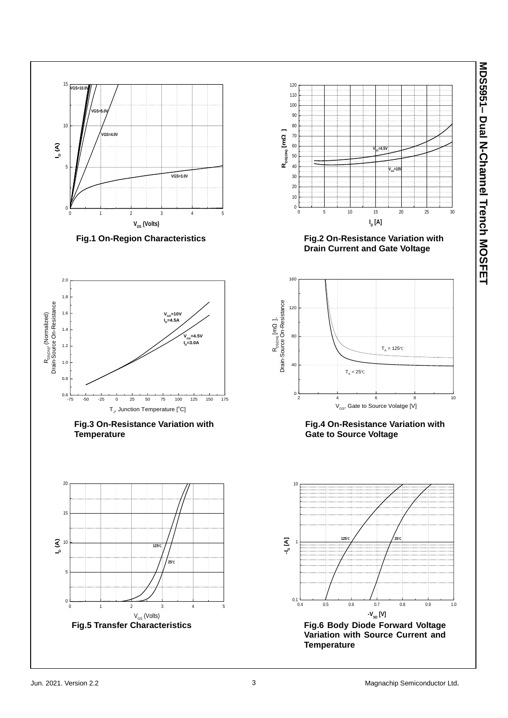**MDS5951 – Dual N-Channel Trench MOSFET**

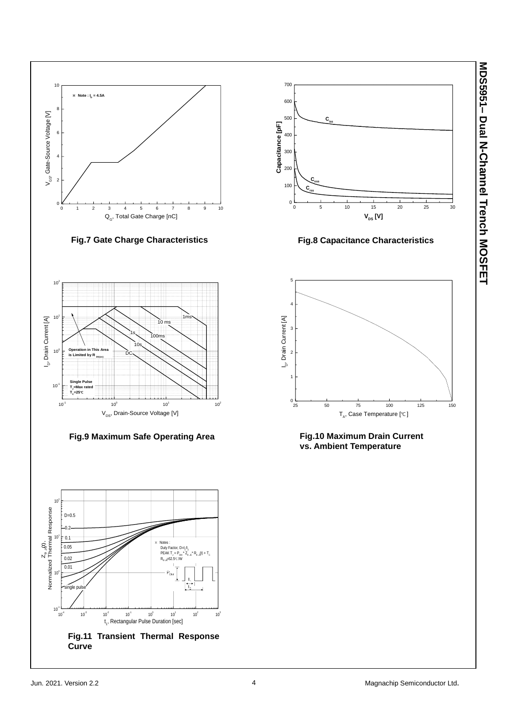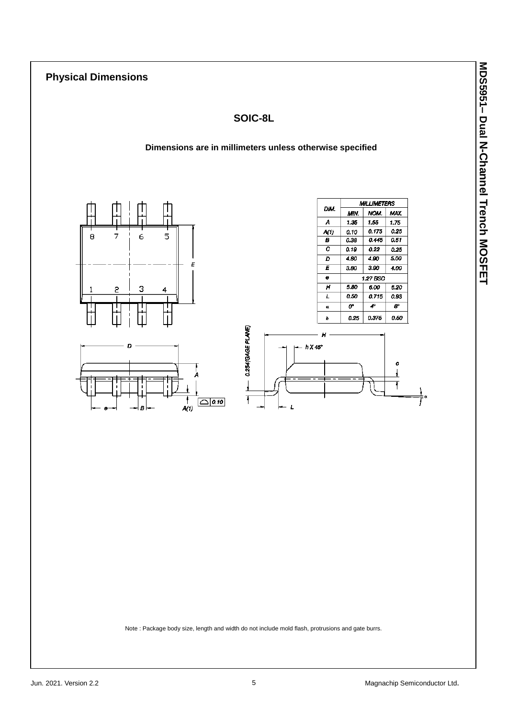### **Physical Dimensions**

### **SOIC-8L**

#### **Dimensions are in millimeters unless otherwise specified**





|      | <b>MILLIMETERS</b> |       |                           |  |  |
|------|--------------------|-------|---------------------------|--|--|
| DIM. | MIN.               | NOM.  | MAX.                      |  |  |
| A    | 1.35               | 1.55  | 1.75                      |  |  |
| A(1) | 0.10               | 0.175 | 0.25                      |  |  |
| в    | 0.38               | 0.445 | 0.51                      |  |  |
| с    | 0.19               | 0.22  | 0.25                      |  |  |
| D    | 4.80               | 4.90  | 5.00                      |  |  |
| Ε    | 3.80               | 3.90  | 4.00                      |  |  |
| e    | 1.27 BSC           |       |                           |  |  |
| н    | 5.80               | 6.00  | 6.20                      |  |  |
| Ł    | 0.50               | 0.715 | 0.93                      |  |  |
| α    | ث                  | 4°    | $\mathbf{S}^{\mathrm{e}}$ |  |  |
| h    | 0.25               | 0.375 | 0.50                      |  |  |



Note : Package body size, length and width do not include mold flash, protrusions and gate burrs.